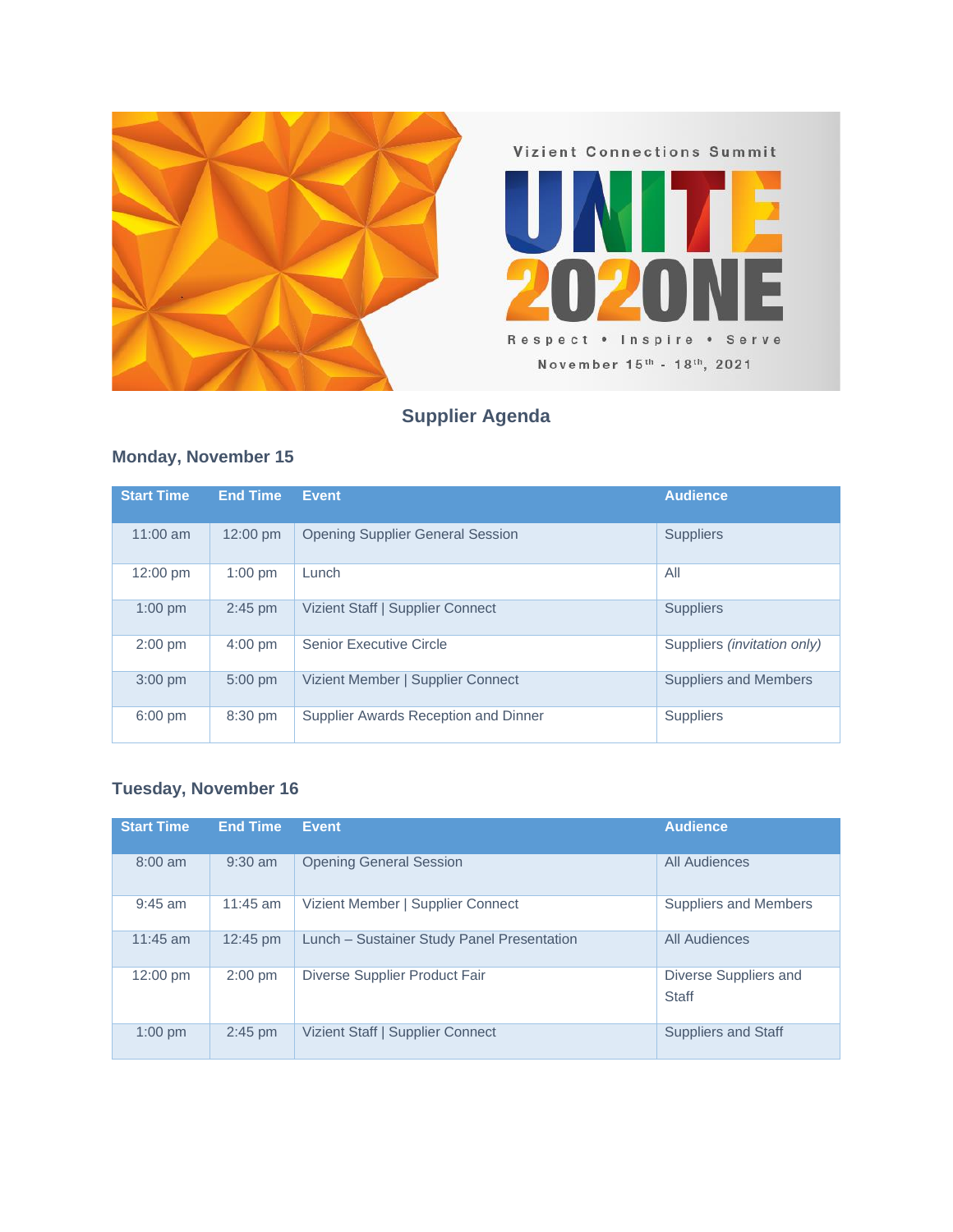

## **Supplier Agenda**

## **Monday, November 15**

| <b>Start Time</b>  | <b>End Time</b> | <b>Event</b>                            | <b>Audience</b>                    |
|--------------------|-----------------|-----------------------------------------|------------------------------------|
| $11:00$ am         | 12:00 pm        | <b>Opening Supplier General Session</b> | <b>Suppliers</b>                   |
| $12:00 \text{ pm}$ | $1:00$ pm       | Lunch                                   | All                                |
| $1:00$ pm          | $2:45$ pm       | Vizient Staff   Supplier Connect        | <b>Suppliers</b>                   |
| $2:00$ pm          | $4:00$ pm       | <b>Senior Executive Circle</b>          | Suppliers <i>(invitation only)</i> |
| $3:00$ pm          | $5:00$ pm       | Vizient Member   Supplier Connect       | Suppliers and Members              |
| $6:00$ pm          | 8:30 pm         | Supplier Awards Reception and Dinner    | <b>Suppliers</b>                   |

## **Tuesday, November 16**

| <b>Start Time</b>  | <b>End Time</b> | <b>Event</b>                               | <b>Audience</b>                |
|--------------------|-----------------|--------------------------------------------|--------------------------------|
| $8:00$ am          | $9:30$ am       | <b>Opening General Session</b>             | All Audiences                  |
| $9:45$ am          | $11:45$ am      | Vizient Member   Supplier Connect          | Suppliers and Members          |
| $11:45$ am         | 12:45 pm        | Lunch - Sustainer Study Panel Presentation | All Audiences                  |
| $12:00 \text{ pm}$ | $2:00$ pm       | Diverse Supplier Product Fair              | Diverse Suppliers and<br>Staff |
| $1:00$ pm          | $2:45$ pm       | Vizient Staff   Supplier Connect           | <b>Suppliers and Staff</b>     |